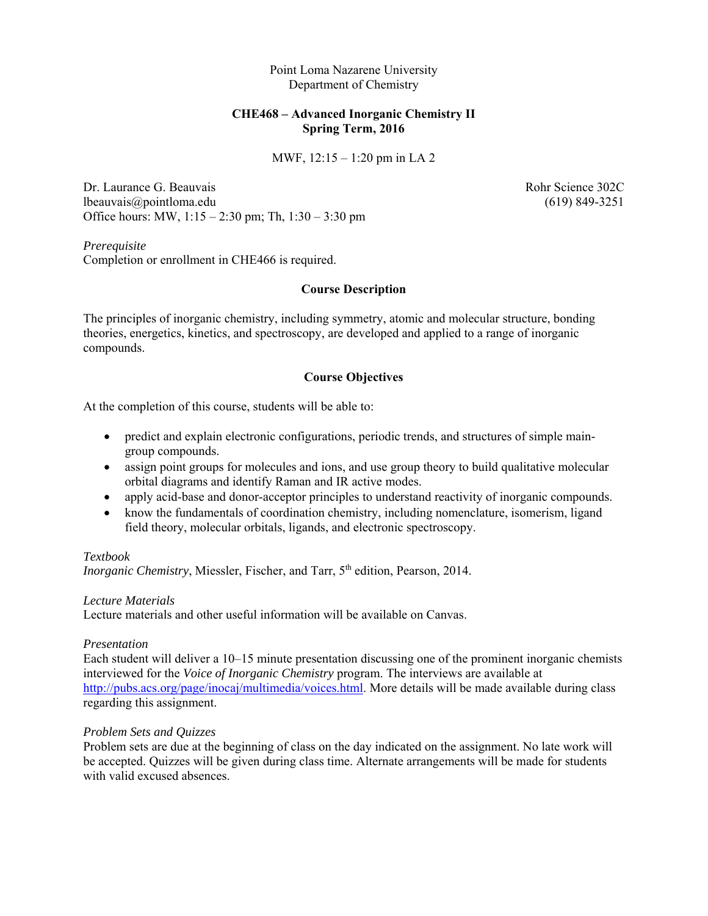Point Loma Nazarene University Department of Chemistry

### **CHE468 – Advanced Inorganic Chemistry II Spring Term, 2016**

MWF, 12:15 – 1:20 pm in LA 2

Dr. Laurance G. Beauvais **Robert Community** Rohr Science 302C lbeauvais@pointloma.edu (619) 849-3251 Office hours: MW, 1:15 – 2:30 pm; Th, 1:30 – 3:30 pm

*Prerequisite*  Completion or enrollment in CHE466 is required.

#### **Course Description**

The principles of inorganic chemistry, including symmetry, atomic and molecular structure, bonding theories, energetics, kinetics, and spectroscopy, are developed and applied to a range of inorganic compounds.

### **Course Objectives**

At the completion of this course, students will be able to:

- predict and explain electronic configurations, periodic trends, and structures of simple maingroup compounds.
- assign point groups for molecules and ions, and use group theory to build qualitative molecular orbital diagrams and identify Raman and IR active modes.
- apply acid-base and donor-acceptor principles to understand reactivity of inorganic compounds.
- know the fundamentals of coordination chemistry, including nomenclature, isomerism, ligand field theory, molecular orbitals, ligands, and electronic spectroscopy.

#### *Textbook*

*Inorganic Chemistry*, Miessler, Fischer, and Tarr, 5<sup>th</sup> edition, Pearson, 2014.

#### *Lecture Materials*

Lecture materials and other useful information will be available on Canvas.

#### *Presentation*

Each student will deliver a 10–15 minute presentation discussing one of the prominent inorganic chemists interviewed for the *Voice of Inorganic Chemistry* program. The interviews are available at http://pubs.acs.org/page/inocaj/multimedia/voices.html. More details will be made available during class regarding this assignment.

#### *Problem Sets and Quizzes*

Problem sets are due at the beginning of class on the day indicated on the assignment. No late work will be accepted. Quizzes will be given during class time. Alternate arrangements will be made for students with valid excused absences.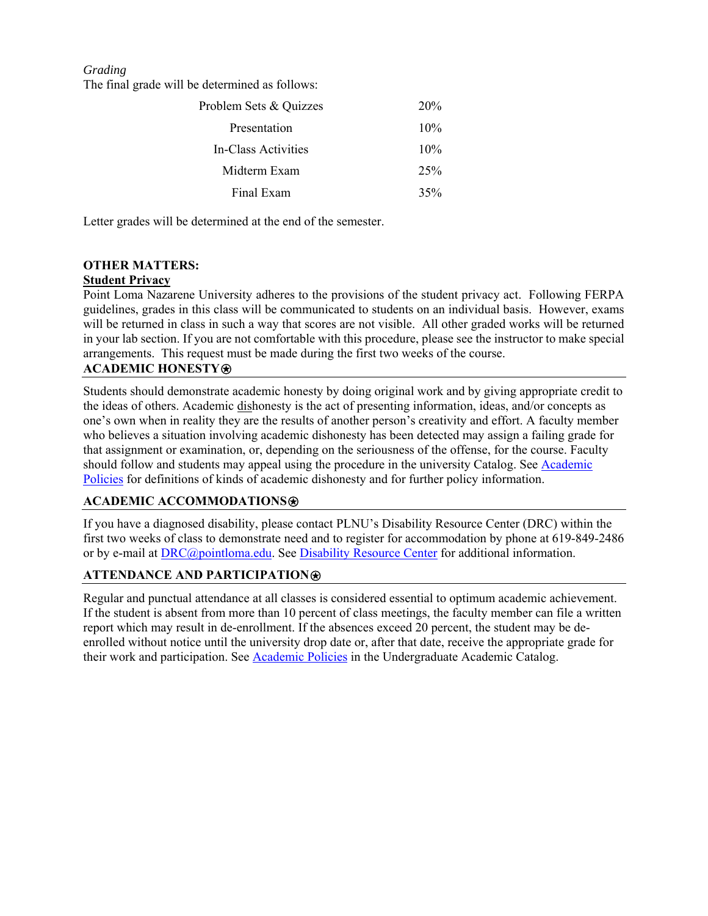*Grading*

The final grade will be determined as follows:

| Problem Sets & Quizzes | 20 <sup>%</sup> |
|------------------------|-----------------|
| Presentation           | 10%             |
| In-Class Activities    | 10%             |
| Midterm Exam           | 25%             |
| Final Exam             | 35%             |

Letter grades will be determined at the end of the semester.

# **OTHER MATTERS:**

# **Student Privacy**

Point Loma Nazarene University adheres to the provisions of the student privacy act. Following FERPA guidelines, grades in this class will be communicated to students on an individual basis. However, exams will be returned in class in such a way that scores are not visible. All other graded works will be returned in your lab section. If you are not comfortable with this procedure, please see the instructor to make special arrangements. This request must be made during the first two weeks of the course.

## **ACADEMIC HONESTY**⍟

Students should demonstrate academic honesty by doing original work and by giving appropriate credit to the ideas of others. Academic dishonesty is the act of presenting information, ideas, and/or concepts as one's own when in reality they are the results of another person's creativity and effort. A faculty member who believes a situation involving academic dishonesty has been detected may assign a failing grade for that assignment or examination, or, depending on the seriousness of the offense, for the course. Faculty should follow and students may appeal using the procedure in the university Catalog. See Academic Policies for definitions of kinds of academic dishonesty and for further policy information.

### **ACADEMIC ACCOMMODATIONS**⍟

If you have a diagnosed disability, please contact PLNU's Disability Resource Center (DRC) within the first two weeks of class to demonstrate need and to register for accommodation by phone at 619-849-2486 or by e-mail at **DRC@pointloma.edu.** See **Disability Resource Center** for additional information.

# **ATTENDANCE AND PARTICIPATION**⍟

Regular and punctual attendance at all classes is considered essential to optimum academic achievement. If the student is absent from more than 10 percent of class meetings, the faculty member can file a written report which may result in de-enrollment. If the absences exceed 20 percent, the student may be deenrolled without notice until the university drop date or, after that date, receive the appropriate grade for their work and participation. See Academic Policies in the Undergraduate Academic Catalog.